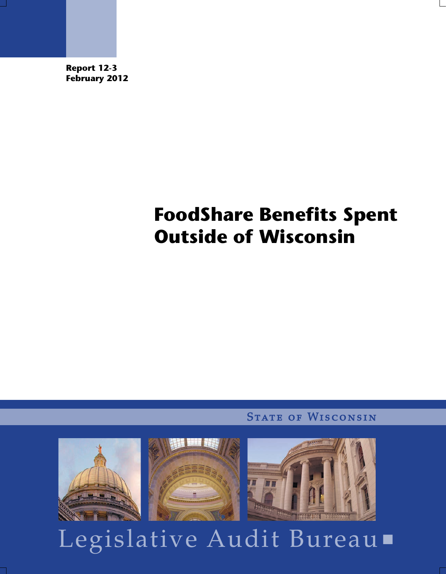**Report 12-3 February 2012** 

# **FoodShare Benefits Spent Outside of Wisconsin**

**STATE OF WISCONSIN** 



Legislative Audit Bureau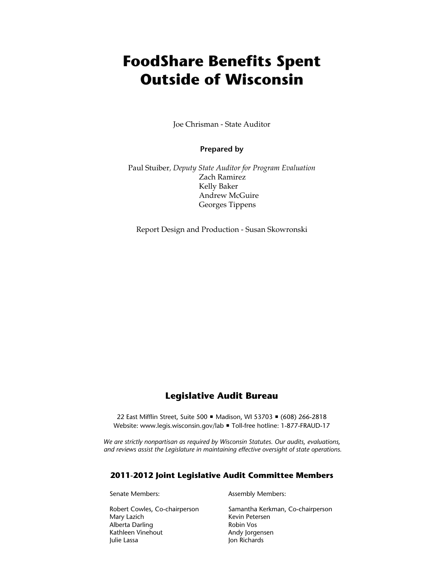# **FoodShare Benefits Spent Outside of Wisconsin**

Joe Chrisman - State Auditor

**Prepared by** 

Paul Stuiber*, Deputy State Auditor for Program Evaluation*  Zach Ramirez Kelly Baker Andrew McGuire Georges Tippens

Report Design and Production - Susan Skowronski

## **Legislative Audit Bureau**

22 East Mifflin Street, Suite 500 · Madison, WI 53703 · (608) 266-2818 Website: www.legis.wisconsin.gov/lab ■ Toll-free hotline: 1-877-FRAUD-17

*We are strictly nonpartisan as required by Wisconsin Statutes. Our audits, evaluations, and reviews assist the Legislature in maintaining effective oversight of state operations.*

#### **2011-2012 Joint Legislative Audit Committee Members**

Robert Cowles, Co-chairperson Samantha Kerkman, Co-chairperson Mary Lazich Kevin Petersen Alberta Darling **Robin Vos** Robin Vos Kathleen Vinehout **Andy Jorgensen** 

Senate Members: Assembly Members:

Julie Lassa Jon Richards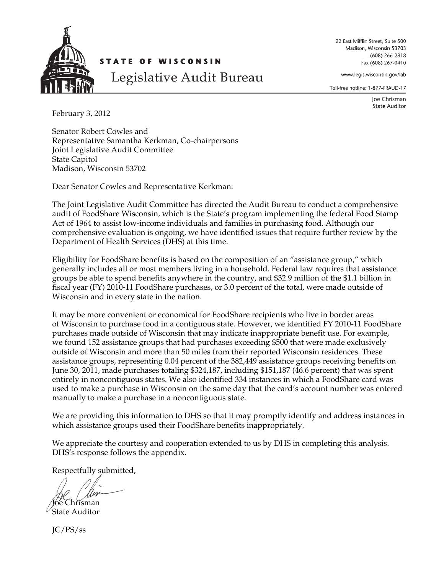

22 East Mifflin Street, Suite 500 Madison, Wisconsin 53703  $(608)$  266-2818 Fax (608) 267-0410

www.legis.wisconsin.gov/lab

Toll-free hotline: 1-877-FRAUD-17

Joe Chrisman **State Auditor** 

February 3, 2012

Senator Robert Cowles and Representative Samantha Kerkman, Co-chairpersons Joint Legislative Audit Committee State Capitol Madison, Wisconsin 53702

Dear Senator Cowles and Representative Kerkman:

The Joint Legislative Audit Committee has directed the Audit Bureau to conduct a comprehensive audit of FoodShare Wisconsin, which is the State's program implementing the federal Food Stamp Act of 1964 to assist low-income individuals and families in purchasing food. Although our comprehensive evaluation is ongoing, we have identified issues that require further review by the Department of Health Services (DHS) at this time.

Eligibility for FoodShare benefits is based on the composition of an "assistance group," which generally includes all or most members living in a household. Federal law requires that assistance groups be able to spend benefits anywhere in the country, and \$32.9 million of the \$1.1 billion in fiscal year (FY) 2010-11 FoodShare purchases, or 3.0 percent of the total, were made outside of Wisconsin and in every state in the nation.

It may be more convenient or economical for FoodShare recipients who live in border areas of Wisconsin to purchase food in a contiguous state. However, we identified FY 2010-11 FoodShare purchases made outside of Wisconsin that may indicate inappropriate benefit use. For example, we found 152 assistance groups that had purchases exceeding \$500 that were made exclusively outside of Wisconsin and more than 50 miles from their reported Wisconsin residences. These assistance groups, representing 0.04 percent of the 382,449 assistance groups receiving benefits on June 30, 2011, made purchases totaling \$324,187, including \$151,187 (46.6 percent) that was spent entirely in noncontiguous states. We also identified 334 instances in which a FoodShare card was used to make a purchase in Wisconsin on the same day that the card's account number was entered manually to make a purchase in a noncontiguous state.

We are providing this information to DHS so that it may promptly identify and address instances in which assistance groups used their FoodShare benefits inappropriately.

We appreciate the courtesy and cooperation extended to us by DHS in completing this analysis. DHS's response follows the appendix.

Respectfully submitted,

Chrisman

State Auditor

JC/PS/ss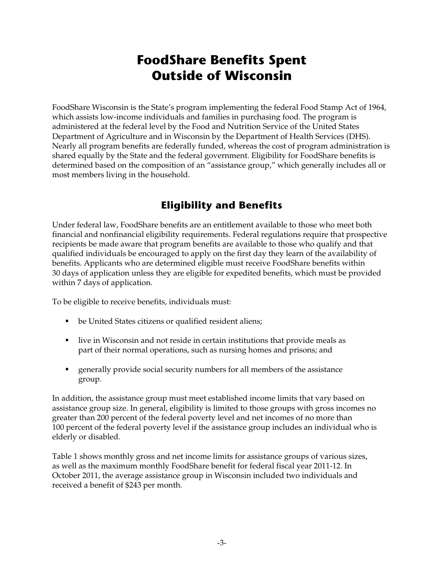# **FoodShare Benefits Spent Outside of Wisconsin**

FoodShare Wisconsin is the State's program implementing the federal Food Stamp Act of 1964, which assists low-income individuals and families in purchasing food. The program is administered at the federal level by the Food and Nutrition Service of the United States Department of Agriculture and in Wisconsin by the Department of Health Services (DHS). Nearly all program benefits are federally funded, whereas the cost of program administration is shared equally by the State and the federal government. Eligibility for FoodShare benefits is determined based on the composition of an "assistance group," which generally includes all or most members living in the household.

# **Eligibility and Benefits**

Under federal law, FoodShare benefits are an entitlement available to those who meet both financial and nonfinancial eligibility requirements. Federal regulations require that prospective recipients be made aware that program benefits are available to those who qualify and that qualified individuals be encouraged to apply on the first day they learn of the availability of benefits. Applicants who are determined eligible must receive FoodShare benefits within 30 days of application unless they are eligible for expedited benefits, which must be provided within 7 days of application.

To be eligible to receive benefits, individuals must:

- be United States citizens or qualified resident aliens;
- **I** live in Wisconsin and not reside in certain institutions that provide meals as part of their normal operations, such as nursing homes and prisons; and
- generally provide social security numbers for all members of the assistance group.

In addition, the assistance group must meet established income limits that vary based on assistance group size. In general, eligibility is limited to those groups with gross incomes no greater than 200 percent of the federal poverty level and net incomes of no more than 100 percent of the federal poverty level if the assistance group includes an individual who is elderly or disabled.

Table 1 shows monthly gross and net income limits for assistance groups of various sizes, as well as the maximum monthly FoodShare benefit for federal fiscal year 2011-12. In October 2011, the average assistance group in Wisconsin included two individuals and received a benefit of \$243 per month.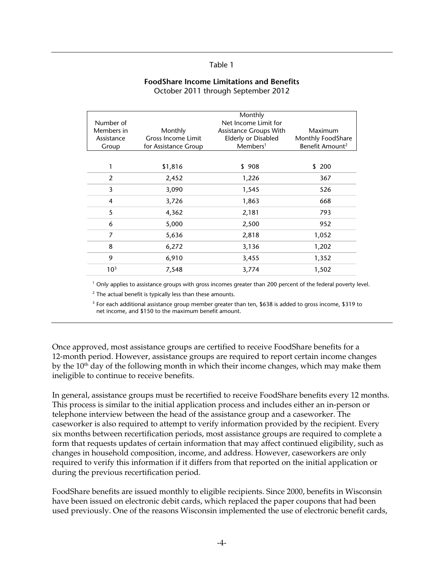| <b>FoodShare Income Limitations and Benefits</b> |  |
|--------------------------------------------------|--|
| October 2011 through September 2012              |  |

| Number of<br>Members in<br>Assistance<br>Group | Monthly<br><b>Gross Income Limit</b><br>for Assistance Group | Monthly<br>Net Income Limit for<br><b>Assistance Groups With</b><br>Elderly or Disabled<br>Members <sup>1</sup> | Maximum<br>Monthly FoodShare<br>Benefit Amount <sup>2</sup> |
|------------------------------------------------|--------------------------------------------------------------|-----------------------------------------------------------------------------------------------------------------|-------------------------------------------------------------|
| $\mathbf{1}$                                   | \$1,816                                                      | \$908                                                                                                           | \$200                                                       |
| 2                                              | 2,452                                                        | 1,226                                                                                                           | 367                                                         |
| 3                                              | 3,090                                                        | 1,545                                                                                                           | 526                                                         |
| $\overline{4}$                                 | 3,726                                                        | 1,863                                                                                                           | 668                                                         |
| 5                                              | 4,362                                                        | 2,181                                                                                                           | 793                                                         |
| 6                                              | 5,000                                                        | 2,500                                                                                                           | 952                                                         |
| 7                                              | 5,636                                                        | 2,818                                                                                                           | 1,052                                                       |
| 8                                              | 6,272                                                        | 3,136                                                                                                           | 1,202                                                       |
| 9                                              | 6,910                                                        | 3,455                                                                                                           | 1,352                                                       |
| 10 <sup>3</sup>                                | 7,548                                                        | 3,774                                                                                                           | 1,502                                                       |

<sup>1</sup> Only applies to assistance groups with gross incomes greater than 200 percent of the federal poverty level.

<sup>2</sup> The actual benefit is typically less than these amounts.

<sup>3</sup> For each additional assistance group member greater than ten, \$638 is added to gross income, \$319 to net income, and \$150 to the maximum benefit amount.

Once approved, most assistance groups are certified to receive FoodShare benefits for a 12-month period. However, assistance groups are required to report certain income changes by the 10<sup>th</sup> day of the following month in which their income changes, which may make them ineligible to continue to receive benefits.

In general, assistance groups must be recertified to receive FoodShare benefits every 12 months. This process is similar to the initial application process and includes either an in-person or telephone interview between the head of the assistance group and a caseworker. The caseworker is also required to attempt to verify information provided by the recipient. Every six months between recertification periods, most assistance groups are required to complete a form that requests updates of certain information that may affect continued eligibility, such as changes in household composition, income, and address. However, caseworkers are only required to verify this information if it differs from that reported on the initial application or during the previous recertification period.

FoodShare benefits are issued monthly to eligible recipients. Since 2000, benefits in Wisconsin have been issued on electronic debit cards, which replaced the paper coupons that had been used previously. One of the reasons Wisconsin implemented the use of electronic benefit cards,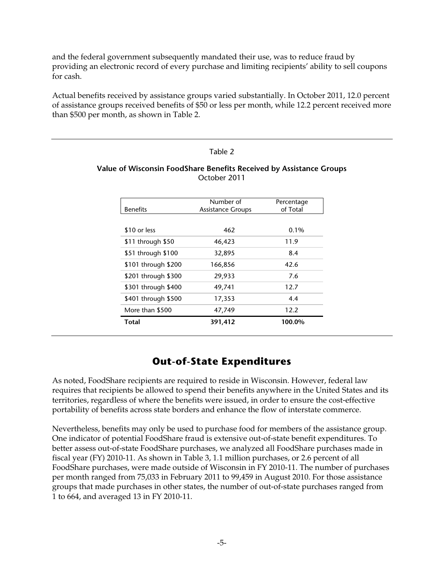and the federal government subsequently mandated their use, was to reduce fraud by providing an electronic record of every purchase and limiting recipients' ability to sell coupons for cash.

Actual benefits received by assistance groups varied substantially. In October 2011, 12.0 percent of assistance groups received benefits of \$50 or less per month, while 12.2 percent received more than \$500 per month, as shown in Table 2.

#### Table 2

#### **Value of Wisconsin FoodShare Benefits Received by Assistance Groups**  October 2011

|                     | Number of                | Percentage |
|---------------------|--------------------------|------------|
| <b>Benefits</b>     | <b>Assistance Groups</b> | of Total   |
|                     |                          |            |
| \$10 or less        | 462                      | $0.1\%$    |
| \$11 through \$50   | 46,423                   | 11.9       |
| \$51 through \$100  | 32,895                   | 8.4        |
| \$101 through \$200 | 166,856                  | 42.6       |
| \$201 through \$300 | 29,933                   | 7.6        |
| \$301 through \$400 | 49,741                   | 12.7       |
| \$401 through \$500 | 17,353                   | 4.4        |
| More than \$500     | 47,749                   | 12.2       |
| Total               | 391,412                  | 100.0%     |

# **Out-of-State Expenditures**

As noted, FoodShare recipients are required to reside in Wisconsin. However, federal law requires that recipients be allowed to spend their benefits anywhere in the United States and its territories, regardless of where the benefits were issued, in order to ensure the cost-effective portability of benefits across state borders and enhance the flow of interstate commerce.

Nevertheless, benefits may only be used to purchase food for members of the assistance group. One indicator of potential FoodShare fraud is extensive out-of-state benefit expenditures. To better assess out-of-state FoodShare purchases, we analyzed all FoodShare purchases made in fiscal year (FY) 2010-11. As shown in Table 3, 1.1 million purchases, or 2.6 percent of all FoodShare purchases, were made outside of Wisconsin in FY 2010-11. The number of purchases per month ranged from 75,033 in February 2011 to 99,459 in August 2010. For those assistance groups that made purchases in other states, the number of out-of-state purchases ranged from 1 to 664, and averaged 13 in FY 2010-11.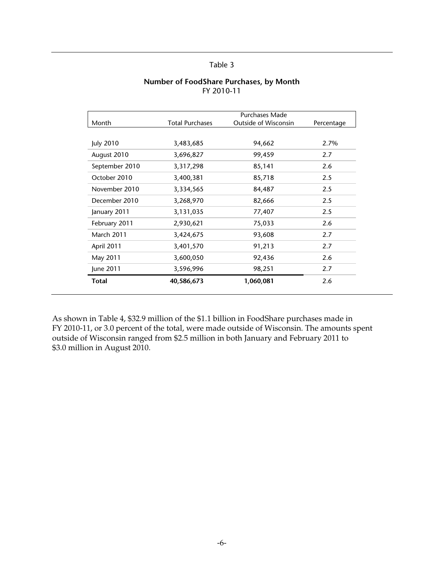|  |            |  | Number of FoodShare Purchases, by Month |
|--|------------|--|-----------------------------------------|
|  | FY 2010-11 |  |                                         |

|                   |                        | Purchases Made              |            |
|-------------------|------------------------|-----------------------------|------------|
| Month             | <b>Total Purchases</b> | <b>Outside of Wisconsin</b> | Percentage |
|                   |                        |                             |            |
| July 2010         | 3,483,685              | 94,662                      | 2.7%       |
| August 2010       | 3,696,827              | 99,459                      | 2.7        |
| September 2010    | 3,317,298              | 85,141                      | 2.6        |
| October 2010      | 3,400,381              | 85,718                      | 2.5        |
| November 2010     | 3,334,565              | 84,487                      | 2.5        |
| December 2010     | 3,268,970              | 82,666                      | 2.5        |
| January 2011      | 3,131,035              | 77,407                      | 2.5        |
| February 2011     | 2,930,621              | 75,033                      | 2.6        |
| <b>March 2011</b> | 3,424,675              | 93,608                      | 2.7        |
| April 2011        | 3,401,570              | 91,213                      | 2.7        |
| May 2011          | 3,600,050              | 92,436                      | 2.6        |
| June 2011         | 3,596,996              | 98,251                      | 2.7        |
| Total             | 40,586,673             | 1,060,081                   | 2.6        |

As shown in Table 4, \$32.9 million of the \$1.1 billion in FoodShare purchases made in FY 2010-11, or 3.0 percent of the total, were made outside of Wisconsin. The amounts spent outside of Wisconsin ranged from \$2.5 million in both January and February 2011 to \$3.0 million in August 2010.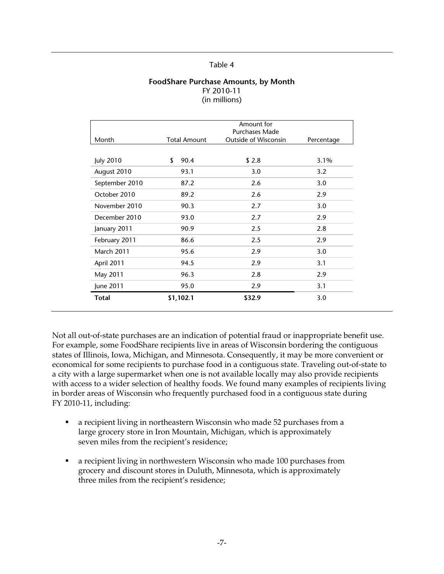#### **FoodShare Purchase Amounts, by Month**  FY 2010-11 (in millions)

|                   |                     | Amount for<br>Purchases Made |            |
|-------------------|---------------------|------------------------------|------------|
| Month             | <b>Total Amount</b> | <b>Outside of Wisconsin</b>  | Percentage |
|                   |                     |                              |            |
| <b>July 2010</b>  | \$<br>90.4          | \$2.8                        | 3.1%       |
| August 2010       | 93.1                | 3.0                          | 3.2        |
| September 2010    | 87.2                | 2.6                          | 3.0        |
| October 2010      | 89.2                | 2.6                          | 2.9        |
| November 2010     | 90.3                | 2.7                          | 3.0        |
| December 2010     | 93.0                | 2.7                          | 2.9        |
| January 2011      | 90.9                | 2.5                          | 2.8        |
| February 2011     | 86.6                | 2.5                          | 2.9        |
| <b>March 2011</b> | 95.6                | 2.9                          | 3.0        |
| April 2011        | 94.5                | 2.9                          | 3.1        |
| May 2011          | 96.3                | 2.8                          | 2.9        |
| June 2011         | 95.0                | 2.9                          | 3.1        |
| <b>Total</b>      | \$1,102.1           | \$32.9                       | 3.0        |

Not all out-of-state purchases are an indication of potential fraud or inappropriate benefit use. For example, some FoodShare recipients live in areas of Wisconsin bordering the contiguous states of Illinois, Iowa, Michigan, and Minnesota. Consequently, it may be more convenient or economical for some recipients to purchase food in a contiguous state. Traveling out-of-state to a city with a large supermarket when one is not available locally may also provide recipients with access to a wider selection of healthy foods. We found many examples of recipients living in border areas of Wisconsin who frequently purchased food in a contiguous state during FY 2010-11, including:

- a recipient living in northeastern Wisconsin who made 52 purchases from a large grocery store in Iron Mountain, Michigan, which is approximately seven miles from the recipient's residence;
- a recipient living in northwestern Wisconsin who made 100 purchases from grocery and discount stores in Duluth, Minnesota, which is approximately three miles from the recipient's residence;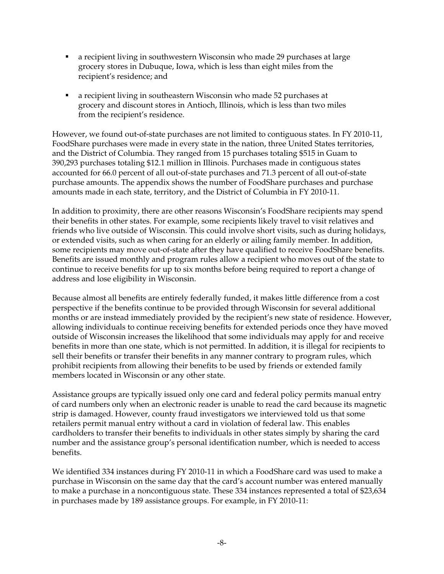- a recipient living in southwestern Wisconsin who made 29 purchases at large grocery stores in Dubuque, Iowa, which is less than eight miles from the recipient's residence; and
- a recipient living in southeastern Wisconsin who made 52 purchases at grocery and discount stores in Antioch, Illinois, which is less than two miles from the recipient's residence.

However, we found out-of-state purchases are not limited to contiguous states. In FY 2010-11, FoodShare purchases were made in every state in the nation, three United States territories, and the District of Columbia. They ranged from 15 purchases totaling \$515 in Guam to 390,293 purchases totaling \$12.1 million in Illinois. Purchases made in contiguous states accounted for 66.0 percent of all out-of-state purchases and 71.3 percent of all out-of-state purchase amounts. The appendix shows the number of FoodShare purchases and purchase amounts made in each state, territory, and the District of Columbia in FY 2010-11.

In addition to proximity, there are other reasons Wisconsin's FoodShare recipients may spend their benefits in other states. For example, some recipients likely travel to visit relatives and friends who live outside of Wisconsin. This could involve short visits, such as during holidays, or extended visits, such as when caring for an elderly or ailing family member. In addition, some recipients may move out-of-state after they have qualified to receive FoodShare benefits. Benefits are issued monthly and program rules allow a recipient who moves out of the state to continue to receive benefits for up to six months before being required to report a change of address and lose eligibility in Wisconsin.

Because almost all benefits are entirely federally funded, it makes little difference from a cost perspective if the benefits continue to be provided through Wisconsin for several additional months or are instead immediately provided by the recipient's new state of residence. However, allowing individuals to continue receiving benefits for extended periods once they have moved outside of Wisconsin increases the likelihood that some individuals may apply for and receive benefits in more than one state, which is not permitted. In addition, it is illegal for recipients to sell their benefits or transfer their benefits in any manner contrary to program rules, which prohibit recipients from allowing their benefits to be used by friends or extended family members located in Wisconsin or any other state.

Assistance groups are typically issued only one card and federal policy permits manual entry of card numbers only when an electronic reader is unable to read the card because its magnetic strip is damaged. However, county fraud investigators we interviewed told us that some retailers permit manual entry without a card in violation of federal law. This enables cardholders to transfer their benefits to individuals in other states simply by sharing the card number and the assistance group's personal identification number, which is needed to access benefits.

We identified 334 instances during FY 2010-11 in which a FoodShare card was used to make a purchase in Wisconsin on the same day that the card's account number was entered manually to make a purchase in a noncontiguous state. These 334 instances represented a total of \$23,634 in purchases made by 189 assistance groups. For example, in FY 2010-11: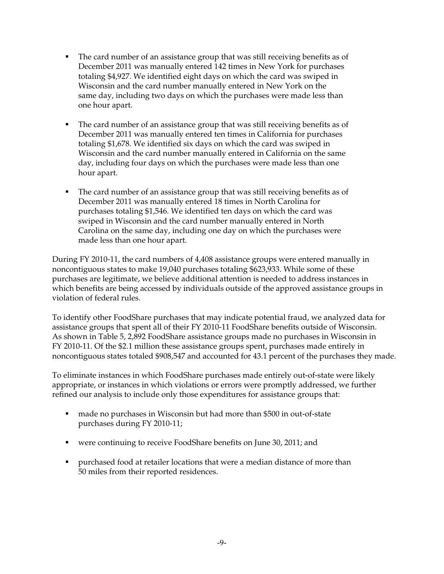- The card number of an assistance group that was still receiving benefits as of December 2011 was manually entered 142 times in New York for purchases totaling \$4,927. We identified eight days on which the card was swiped in Wisconsin and the card number manually entered in New York on the same day, including two days on which the purchases were made less than one hour apart.
- The card number of an assistance group that was still receiving benefits as of December 2011 was manually entered ten times in California for purchases totaling \$1,678. We identified six days on which the card was swiped in Wisconsin and the card number manually entered in California on the same day, including four days on which the purchases were made less than one hour apart.
- The card number of an assistance group that was still receiving benefits as of December 2011 was manually entered 18 times in North Carolina for purchases totaling \$1,546. We identified ten days on which the card was swiped in Wisconsin and the card number manually entered in North Carolina on the same day, including one day on which the purchases were made less than one hour apart.

During FY 2010-11, the card numbers of 4,408 assistance groups were entered manually in noncontiguous states to make 19,040 purchases totaling \$623,933. While some of these purchases are legitimate, we believe additional attention is needed to address instances in which benefits are being accessed by individuals outside of the approved assistance groups in violation of federal rules.

To identify other FoodShare purchases that may indicate potential fraud, we analyzed data for assistance groups that spent all of their FY 2010-11 FoodShare benefits outside of Wisconsin. As shown in Table 5, 2,892 FoodShare assistance groups made no purchases in Wisconsin in FY 2010-11. Of the \$2.1 million these assistance groups spent, purchases made entirely in noncontiguous states totaled \$908,547 and accounted for 43.1 percent of the purchases they made.

To eliminate instances in which FoodShare purchases made entirely out-of-state were likely appropriate, or instances in which violations or errors were promptly addressed, we further refined our analysis to include only those expenditures for assistance groups that:

- made no purchases in Wisconsin but had more than \$500 in out-of-state purchases during FY 2010-11;
- were continuing to receive FoodShare benefits on June 30, 2011; and
- purchased food at retailer locations that were a median distance of more than 50 miles from their reported residences.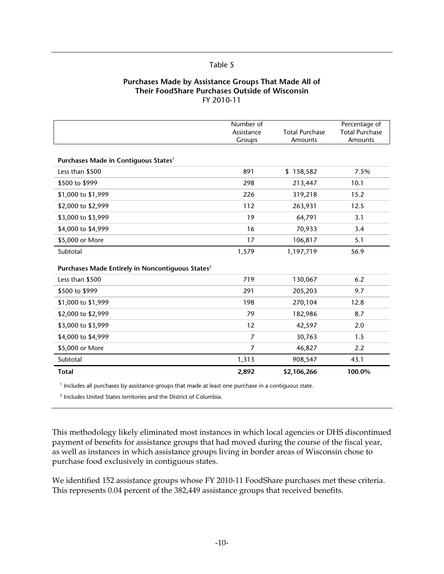#### **Purchases Made by Assistance Groups That Made All of Their FoodShare Purchases Outside of Wisconsin**  FY 2010-11

|                                                              | Number of<br>Assistance<br>Groups | <b>Total Purchase</b><br>Amounts | Percentage of<br><b>Total Purchase</b><br>Amounts |
|--------------------------------------------------------------|-----------------------------------|----------------------------------|---------------------------------------------------|
| Purchases Made in Contiguous States <sup>1</sup>             |                                   |                                  |                                                   |
| Less than \$500                                              | 891                               | \$158,582                        | 7.5%                                              |
| \$500 to \$999                                               | 298                               | 213,447                          | 10.1                                              |
| \$1,000 to \$1,999                                           | 226                               | 319,218                          | 15.2                                              |
| \$2,000 to \$2,999                                           | 112                               | 263,931                          | 12.5                                              |
| \$3,000 to \$3,999                                           | 19                                | 64,791                           | 3.1                                               |
| \$4,000 to \$4,999                                           | 16                                | 70,933                           | 3.4                                               |
| \$5,000 or More                                              | 17                                | 106,817                          | 5.1                                               |
| Subtotal                                                     | 1,579                             | 1,197,719                        | 56.9                                              |
| Purchases Made Entirely in Noncontiquous States <sup>2</sup> |                                   |                                  |                                                   |
| Less than \$500                                              | 719                               | 130,067                          | 6.2                                               |
| \$500 to \$999                                               | 291                               | 205,203                          | 9.7                                               |
| \$1,000 to \$1,999                                           | 198                               | 270,104                          | 12.8                                              |
| \$2,000 to \$2,999                                           | 79                                | 182,986                          | 8.7                                               |
| \$3,000 to \$3,999                                           | 12                                | 42,597                           | 2.0                                               |
| \$4,000 to \$4,999                                           | 7                                 | 30,763                           | 1.5                                               |
| \$5,000 or More                                              | $\overline{7}$                    | 46,827                           | 2.2                                               |
| Subtotal                                                     | 1,313                             | 908,547                          | 43.1                                              |
| <b>Total</b>                                                 | 2,892                             | \$2,106,266                      | 100.0%                                            |

<sup>1</sup> Includes all purchases by assistance groups that made at least one purchase in a contiguous state.

<sup>2</sup> Includes United States territories and the District of Columbia.

This methodology likely eliminated most instances in which local agencies or DHS discontinued payment of benefits for assistance groups that had moved during the course of the fiscal year, as well as instances in which assistance groups living in border areas of Wisconsin chose to purchase food exclusively in contiguous states.

We identified 152 assistance groups whose FY 2010-11 FoodShare purchases met these criteria. This represents 0.04 percent of the 382,449 assistance groups that received benefits.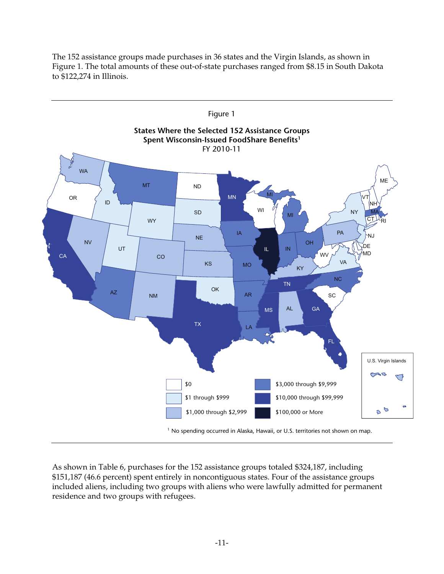

The 152 assistance groups made purchases in 36 states and the Virgin Islands, as shown in Figure 1. The total amounts of these out-of-state purchases ranged from \$8.15 in South Dakota to \$122,274 in Illinois.

As shown in Table 6, purchases for the 152 assistance groups totaled \$324,187, including \$151,187 (46.6 percent) spent entirely in noncontiguous states. Four of the assistance groups included aliens, including two groups with aliens who were lawfully admitted for permanent residence and two groups with refugees.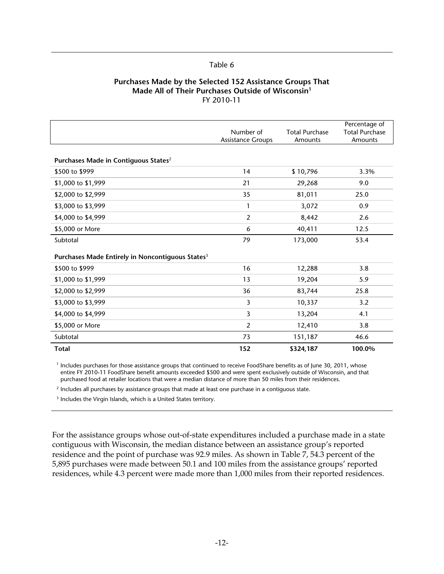#### **Purchases Made by the Selected 152 Assistance Groups That Made All of Their Purchases Outside of Wisconsin1** FY 2010-11

|                                                              | Number of<br><b>Assistance Groups</b> | <b>Total Purchase</b><br>Amounts | Percentage of<br><b>Total Purchase</b><br>Amounts |
|--------------------------------------------------------------|---------------------------------------|----------------------------------|---------------------------------------------------|
| Purchases Made in Contiguous States <sup>2</sup>             |                                       |                                  |                                                   |
| \$500 to \$999                                               | 14                                    | \$10,796                         | 3.3%                                              |
| \$1,000 to \$1,999                                           | 21                                    | 29,268                           | 9.0                                               |
| \$2,000 to \$2,999                                           | 35                                    | 81,011                           | 25.0                                              |
| \$3,000 to \$3,999                                           | 1                                     | 3,072                            | 0.9                                               |
| \$4,000 to \$4,999                                           | $\overline{2}$                        | 8,442                            | 2.6                                               |
| \$5,000 or More                                              | 6                                     | 40,411                           | 12.5                                              |
| Subtotal                                                     | 79                                    | 173,000                          | 53.4                                              |
| Purchases Made Entirely in Noncontiguous States <sup>3</sup> |                                       |                                  |                                                   |
| \$500 to \$999                                               | 16                                    | 12,288                           | 3.8                                               |
| \$1,000 to \$1,999                                           | 13                                    | 19,204                           | 5.9                                               |
| \$2,000 to \$2,999                                           | 36                                    | 83,744                           | 25.8                                              |
| \$3,000 to \$3,999                                           | 3                                     | 10,337                           | 3.2                                               |
| \$4,000 to \$4,999                                           | 3                                     | 13,204                           | 4.1                                               |
| \$5,000 or More                                              | 2                                     | 12,410                           | 3.8                                               |
| Subtotal                                                     | 73                                    | 151,187                          | 46.6                                              |
| Total                                                        | 152                                   | \$324,187                        | 100.0%                                            |

<sup>1</sup> Includes purchases for those assistance groups that continued to receive FoodShare benefits as of June 30, 2011, whose entire FY 2010-11 FoodShare benefit amounts exceeded \$500 and were spent exclusively outside of Wisconsin, and that purchased food at retailer locations that were a median distance of more than 50 miles from their residences.

<sup>2</sup> Includes all purchases by assistance groups that made at least one purchase in a contiguous state.

<sup>3</sup> Includes the Virgin Islands, which is a United States territory.

For the assistance groups whose out-of-state expenditures included a purchase made in a state contiguous with Wisconsin, the median distance between an assistance group's reported residence and the point of purchase was 92.9 miles. As shown in Table 7, 54.3 percent of the 5,895 purchases were made between 50.1 and 100 miles from the assistance groups' reported residences, while 4.3 percent were made more than 1,000 miles from their reported residences.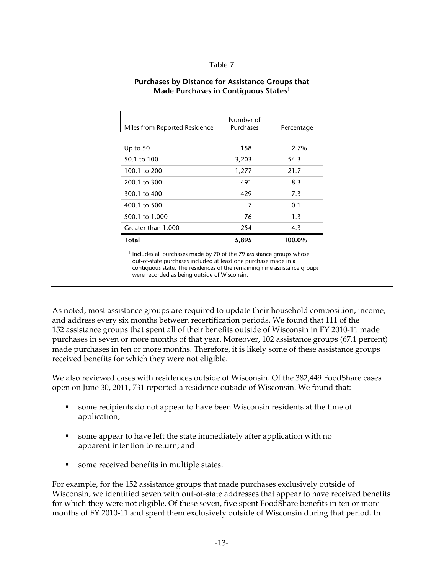| Miles from Reported Residence | Number of<br>Purchases | Percentage |
|-------------------------------|------------------------|------------|
|                               |                        |            |
| Up to $50$                    | 158                    | 2.7%       |
| 50.1 to 100                   | 3,203                  | 54.3       |
| 100.1 to 200                  | 1,277                  | 21.7       |
| 200.1 to 300                  | 491                    | 8.3        |
| 300.1 to 400                  | 429                    | 7.3        |
| 400.1 to 500                  | 7                      | 0.1        |
| 500.1 to 1,000                | 76                     | 1.3        |
| Greater than 1,000            | 254                    | 4.3        |
| <b>Total</b>                  | 5,895                  | 100.0%     |

#### **Purchases by Distance for Assistance Groups that Made Purchases in Contiguous States1**

 $<sup>1</sup>$  Includes all purchases made by 70 of the 79 assistance groups whose</sup> out-of-state purchases included at least one purchase made in a contiguous state. The residences of the remaining nine assistance groups were recorded as being outside of Wisconsin.

As noted, most assistance groups are required to update their household composition, income, and address every six months between recertification periods. We found that 111 of the 152 assistance groups that spent all of their benefits outside of Wisconsin in FY 2010-11 made purchases in seven or more months of that year. Moreover, 102 assistance groups (67.1 percent) made purchases in ten or more months. Therefore, it is likely some of these assistance groups received benefits for which they were not eligible.

We also reviewed cases with residences outside of Wisconsin. Of the 382,449 FoodShare cases open on June 30, 2011, 731 reported a residence outside of Wisconsin. We found that:

- some recipients do not appear to have been Wisconsin residents at the time of application;
- some appear to have left the state immediately after application with no apparent intention to return; and
- some received benefits in multiple states.

For example, for the 152 assistance groups that made purchases exclusively outside of Wisconsin, we identified seven with out-of-state addresses that appear to have received benefits for which they were not eligible. Of these seven, five spent FoodShare benefits in ten or more months of FY 2010-11 and spent them exclusively outside of Wisconsin during that period. In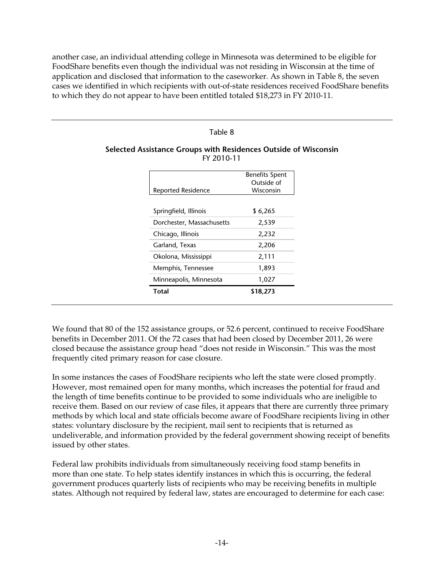another case, an individual attending college in Minnesota was determined to be eligible for FoodShare benefits even though the individual was not residing in Wisconsin at the time of application and disclosed that information to the caseworker. As shown in Table 8, the seven cases we identified in which recipients with out-of-state residences received FoodShare benefits to which they do not appear to have been entitled totaled \$18,273 in FY 2010-11.

#### Table 8

#### **Selected Assistance Groups with Residences Outside of Wisconsin**  FY 2010-11

|                           | <b>Benefits Spent</b> |
|---------------------------|-----------------------|
|                           | Outside of            |
| Reported Residence        | Wisconsin             |
|                           |                       |
| Springfield, Illinois     | \$6,265               |
| Dorchester, Massachusetts | 2,539                 |
| Chicago, Illinois         | 2,232                 |
| Garland, Texas            | 2,206                 |
| Okolona, Mississippi      | 2,111                 |
| Memphis, Tennessee        | 1,893                 |
| Minneapolis, Minnesota    | 1,027                 |
| Total                     | \$18,273              |
|                           |                       |

We found that 80 of the 152 assistance groups, or 52.6 percent, continued to receive FoodShare benefits in December 2011. Of the 72 cases that had been closed by December 2011, 26 were closed because the assistance group head "does not reside in Wisconsin." This was the most frequently cited primary reason for case closure.

In some instances the cases of FoodShare recipients who left the state were closed promptly. However, most remained open for many months, which increases the potential for fraud and the length of time benefits continue to be provided to some individuals who are ineligible to receive them. Based on our review of case files, it appears that there are currently three primary methods by which local and state officials become aware of FoodShare recipients living in other states: voluntary disclosure by the recipient, mail sent to recipients that is returned as undeliverable, and information provided by the federal government showing receipt of benefits issued by other states.

Federal law prohibits individuals from simultaneously receiving food stamp benefits in more than one state. To help states identify instances in which this is occurring, the federal government produces quarterly lists of recipients who may be receiving benefits in multiple states. Although not required by federal law, states are encouraged to determine for each case: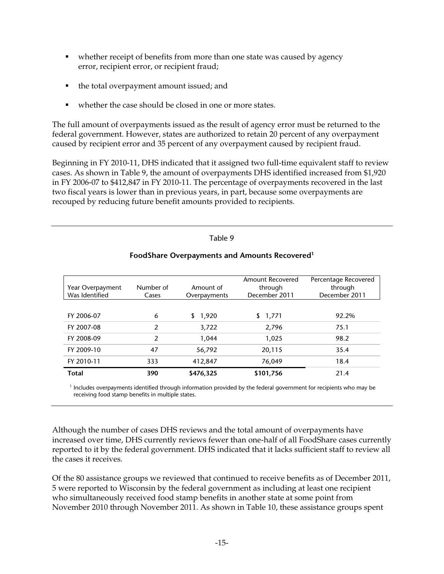- whether receipt of benefits from more than one state was caused by agency error, recipient error, or recipient fraud;
- the total overpayment amount issued; and
- whether the case should be closed in one or more states.

The full amount of overpayments issued as the result of agency error must be returned to the federal government. However, states are authorized to retain 20 percent of any overpayment caused by recipient error and 35 percent of any overpayment caused by recipient fraud.

Beginning in FY 2010-11, DHS indicated that it assigned two full-time equivalent staff to review cases. As shown in Table 9, the amount of overpayments DHS identified increased from \$1,920 in FY 2006-07 to \$412,847 in FY 2010-11. The percentage of overpayments recovered in the last two fiscal years is lower than in previous years, in part, because some overpayments are recouped by reducing future benefit amounts provided to recipients.

#### Table 9

|                  |               |              | Amount Recovered | Percentage Recovered |
|------------------|---------------|--------------|------------------|----------------------|
| Year Overpayment | Number of     | Amount of    | through          | through              |
| Was Identified   | Cases         | Overpayments | December 2011    | December 2011        |
|                  |               |              |                  |                      |
| FY 2006-07       | 6             | \$1,920      | \$1,771          | 92.2%                |
| FY 2007-08       | $\mathcal{P}$ | 3,722        | 2,796            | 75.1                 |
| FY 2008-09       | $\mathcal{P}$ | 1,044        | 1,025            | 98.2                 |
| FY 2009-10       | 47            | 56,792       | 20,115           | 35.4                 |
| FY 2010-11       | 333           | 412,847      | 76,049           | 18.4                 |
| <b>Total</b>     | 390           | \$476,325    | \$101,756        | 21.4                 |

### **FoodShare Overpayments and Amounts Recovered1**

<sup>1</sup> Includes overpayments identified through information provided by the federal government for recipients who may be receiving food stamp benefits in multiple states.

Although the number of cases DHS reviews and the total amount of overpayments have increased over time, DHS currently reviews fewer than one-half of all FoodShare cases currently reported to it by the federal government. DHS indicated that it lacks sufficient staff to review all the cases it receives.

Of the 80 assistance groups we reviewed that continued to receive benefits as of December 2011, 5 were reported to Wisconsin by the federal government as including at least one recipient who simultaneously received food stamp benefits in another state at some point from November 2010 through November 2011. As shown in Table 10, these assistance groups spent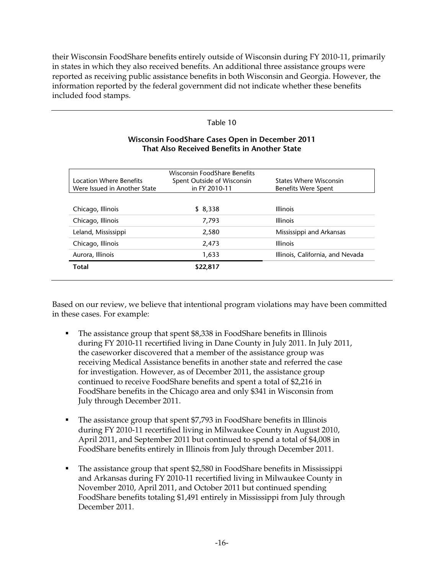their Wisconsin FoodShare benefits entirely outside of Wisconsin during FY 2010-11, primarily in states in which they also received benefits. An additional three assistance groups were reported as receiving public assistance benefits in both Wisconsin and Georgia. However, the information reported by the federal government did not indicate whether these benefits included food stamps.

#### Table 10

|                              | Wisconsin FoodShare Benefits |                                  |
|------------------------------|------------------------------|----------------------------------|
| Location Where Benefits      | Spent Outside of Wisconsin   | States Where Wisconsin           |
| Were Issued in Another State | in FY 2010-11                | Benefits Were Spent              |
|                              |                              |                                  |
| Chicago, Illinois            | \$8,338                      | <b>Illinois</b>                  |
| Chicago, Illinois            | 7,793                        | <b>Illinois</b>                  |
| Leland, Mississippi          | 2,580                        | Mississippi and Arkansas         |
| Chicago, Illinois            | 2,473                        | <b>Illinois</b>                  |
| Aurora, Illinois             | 1,633                        | Illinois, California, and Nevada |
| <b>Total</b>                 | \$22,817                     |                                  |

### **Wisconsin FoodShare Cases Open in December 2011 That Also Received Benefits in Another State**

Based on our review, we believe that intentional program violations may have been committed in these cases. For example:

- The assistance group that spent \$8,338 in FoodShare benefits in Illinois during FY 2010-11 recertified living in Dane County in July 2011. In July 2011, the caseworker discovered that a member of the assistance group was receiving Medical Assistance benefits in another state and referred the case for investigation. However, as of December 2011, the assistance group continued to receive FoodShare benefits and spent a total of \$2,216 in FoodShare benefits in the Chicago area and only \$341 in Wisconsin from July through December 2011.
- The assistance group that spent \$7,793 in FoodShare benefits in Illinois during FY 2010-11 recertified living in Milwaukee County in August 2010, April 2011, and September 2011 but continued to spend a total of \$4,008 in FoodShare benefits entirely in Illinois from July through December 2011.
- **The assistance group that spent \$2,580 in FoodShare benefits in Mississippi** and Arkansas during FY 2010-11 recertified living in Milwaukee County in November 2010, April 2011, and October 2011 but continued spending FoodShare benefits totaling \$1,491 entirely in Mississippi from July through December 2011.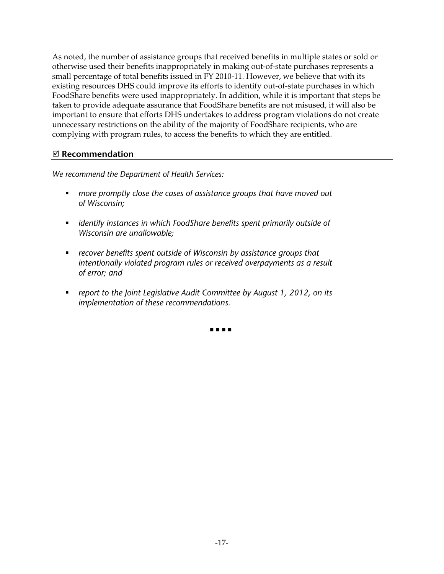As noted, the number of assistance groups that received benefits in multiple states or sold or otherwise used their benefits inappropriately in making out-of-state purchases represents a small percentage of total benefits issued in FY 2010-11. However, we believe that with its existing resources DHS could improve its efforts to identify out-of-state purchases in which FoodShare benefits were used inappropriately. In addition, while it is important that steps be taken to provide adequate assurance that FoodShare benefits are not misused, it will also be important to ensure that efforts DHS undertakes to address program violations do not create unnecessary restrictions on the ability of the majority of FoodShare recipients, who are complying with program rules, to access the benefits to which they are entitled.

## **Recommendation**

*We recommend the Department of Health Services:* 

- *more promptly close the cases of assistance groups that have moved out of Wisconsin;*
- *identify instances in which FoodShare benefits spent primarily outside of Wisconsin are unallowable;*
- *recover benefits spent outside of Wisconsin by assistance groups that intentionally violated program rules or received overpayments as a result of error; and*
- *report to the Joint Legislative Audit Committee by August 1, 2012, on its implementation of these recommendations.*

. . . .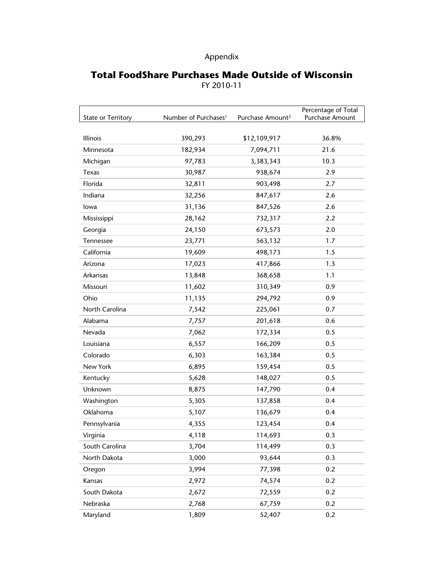## Appendix

## **Total FoodShare Purchases Made Outside of Wisconsin**  FY 2010-11

| <b>State or Territory</b> | Number of Purchases <sup>1</sup> | Purchase Amount <sup>2</sup> | Percentage of Total<br>Purchase Amount |
|---------------------------|----------------------------------|------------------------------|----------------------------------------|
|                           |                                  |                              |                                        |
| Illinois                  | 390,293                          | \$12,109,917                 | 36.8%                                  |
| Minnesota                 | 182,934                          | 7,094,711                    | 21.6                                   |
| Michigan                  | 97,783                           | 3,383,343                    | 10.3                                   |
| Texas                     | 30,987                           | 938,674                      | 2.9                                    |
| Florida                   | 32,811                           | 903,498                      | 2.7                                    |
| Indiana                   | 32,256                           | 847,617                      | 2.6                                    |
| lowa                      | 31,136                           | 847,526                      | 2.6                                    |
| Mississippi               | 28,162                           | 732,317                      | 2.2                                    |
| Georgia                   | 24,150                           | 673,573                      | 2.0                                    |
| Tennessee                 | 23,771                           | 563,132                      | 1.7                                    |
| California                | 19,609                           | 498,173                      | 1.5                                    |
| Arizona                   | 17,023                           | 417,866                      | 1.3                                    |
| Arkansas                  | 13,848                           | 368,658                      | 1.1                                    |
| Missouri                  | 11,602                           | 310,349                      | 0.9                                    |
| Ohio                      | 11,135                           | 294,792                      | 0.9                                    |
| North Carolina            | 7,542                            | 225,061                      | 0.7                                    |
| Alabama                   | 7,757                            | 201,618                      | 0.6                                    |
| Nevada                    | 7,062                            | 172,334                      | 0.5                                    |
| Louisiana                 | 6,557                            | 166,209                      | 0.5                                    |
| Colorado                  | 6,303                            | 163,384                      | 0.5                                    |
| New York                  | 6,895                            | 159,454                      | 0.5                                    |
| Kentucky                  | 5,628                            | 148,027                      | 0.5                                    |
| Unknown                   | 8,875                            | 147,790                      | 0.4                                    |
| Washington                | 5,305                            | 137,858                      | 0.4                                    |
| Oklahoma                  | 5,107                            | 136,679                      | 0.4                                    |
| Pennsylvania              | 4,355                            | 123,454                      | 0.4                                    |
| Virginia                  | 4,118                            | 114,693                      | 0.3                                    |
| South Carolina            | 3,704                            | 114,499                      | 0.3                                    |
| North Dakota              | 3,000                            | 93,644                       | 0.3                                    |
| Oregon                    | 3,994                            | 77,398                       | 0.2                                    |
| Kansas                    | 2,972                            | 74,574                       | 0.2                                    |
| South Dakota              | 2,672                            | 72,559                       | 0.2                                    |
| Nebraska                  | 2,768                            | 67,759                       | 0.2                                    |
| Maryland                  | 1,809                            | 52,407                       | 0.2                                    |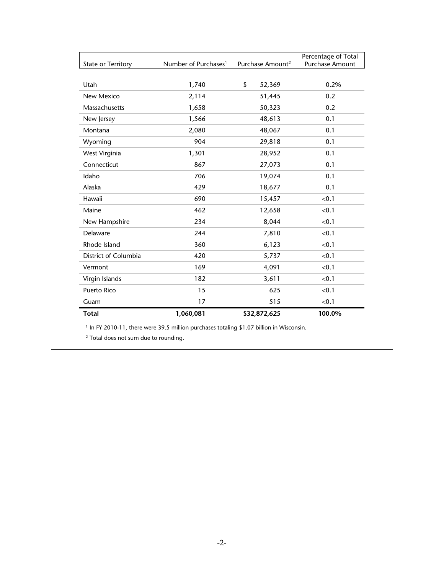| <b>State or Territory</b> | Number of Purchases <sup>1</sup> | Purchase Amount <sup>2</sup> | Percentage of Total<br>Purchase Amount |
|---------------------------|----------------------------------|------------------------------|----------------------------------------|
|                           |                                  |                              |                                        |
| Utah                      | 1,740                            | \$<br>52,369                 | 0.2%                                   |
| New Mexico                | 2,114                            | 51,445                       | 0.2                                    |
| Massachusetts             | 1,658                            | 50,323                       | 0.2                                    |
| New Jersey                | 1,566                            | 48,613                       | 0.1                                    |
| Montana                   | 2,080                            | 48,067                       | 0.1                                    |
| Wyoming                   | 904                              | 29,818                       | 0.1                                    |
| West Virginia             | 1,301                            | 28,952                       | 0.1                                    |
| Connecticut               | 867                              | 27,073                       | 0.1                                    |
| Idaho                     | 706                              | 19,074                       | 0.1                                    |
| Alaska                    | 429                              | 18,677                       | 0.1                                    |
| Hawaii                    | 690                              | 15,457                       | < 0.1                                  |
| Maine                     | 462                              | 12,658                       | < 0.1                                  |
| New Hampshire             | 234                              | 8,044                        | < 0.1                                  |
| Delaware                  | 244                              | 7,810                        | < 0.1                                  |
| Rhode Island              | 360                              | 6,123                        | < 0.1                                  |
| District of Columbia      | 420                              | 5,737                        | < 0.1                                  |
| Vermont                   | 169                              | 4,091                        | < 0.1                                  |
| Virgin Islands            | 182                              | 3,611                        | < 0.1                                  |
| Puerto Rico               | 15                               | 625                          | < 0.1                                  |
| Guam                      | 17                               | 515                          | < 0.1                                  |
| <b>Total</b>              | 1,060,081                        | \$32,872,625                 | 100.0%                                 |

<sup>1</sup> In FY 2010-11, there were 39.5 million purchases totaling \$1.07 billion in Wisconsin.

<sup>2</sup> Total does not sum due to rounding.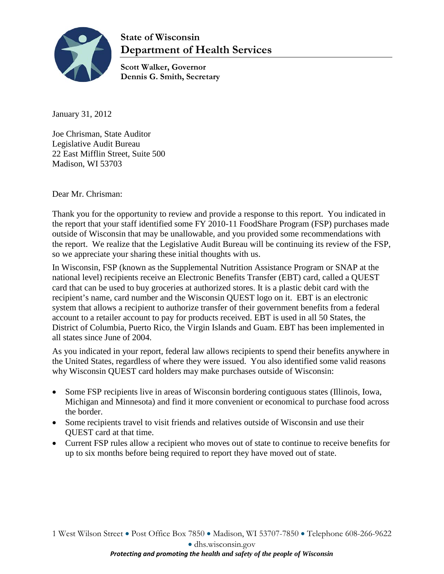

# **State of Wisconsin Department of Health Services**

**Scott Walker, Governor Dennis G. Smith, Secretary**

January 31, 2012

Joe Chrisman, State Auditor Legislative Audit Bureau 22 East Mifflin Street, Suite 500 Madison, WI 53703

Dear Mr. Chrisman:

Thank you for the opportunity to review and provide a response to this report. You indicated in the report that your staff identified some FY 2010-11 FoodShare Program (FSP) purchases made outside of Wisconsin that may be unallowable, and you provided some recommendations with the report. We realize that the Legislative Audit Bureau will be continuing its review of the FSP, so we appreciate your sharing these initial thoughts with us.

In Wisconsin, FSP (known as the Supplemental Nutrition Assistance Program or SNAP at the national level) recipients receive an Electronic Benefits Transfer (EBT) card, called a QUEST card that can be used to buy groceries at authorized stores. It is a plastic debit card with the recipient's name, card number and the Wisconsin QUEST logo on it. EBT is an electronic system that allows a recipient to authorize transfer of their government benefits from a federal account to a retailer account to pay for products received. EBT is used in all 50 States, the District of Columbia, Puerto Rico, the Virgin Islands and Guam. EBT has been implemented in all states since June of 2004.

As you indicated in your report, federal law allows recipients to spend their benefits anywhere in the United States, regardless of where they were issued. You also identified some valid reasons why Wisconsin QUEST card holders may make purchases outside of Wisconsin:

- Some FSP recipients live in areas of Wisconsin bordering contiguous states (Illinois, Iowa, Michigan and Minnesota) and find it more convenient or economical to purchase food across the border.
- Some recipients travel to visit friends and relatives outside of Wisconsin and use their QUEST card at that time.
- Current FSP rules allow a recipient who moves out of state to continue to receive benefits for up to six months before being required to report they have moved out of state.

1 West Wilson Street • Post Office Box 7850 • Madison, WI 53707-7850 • Telephone 608-266-9622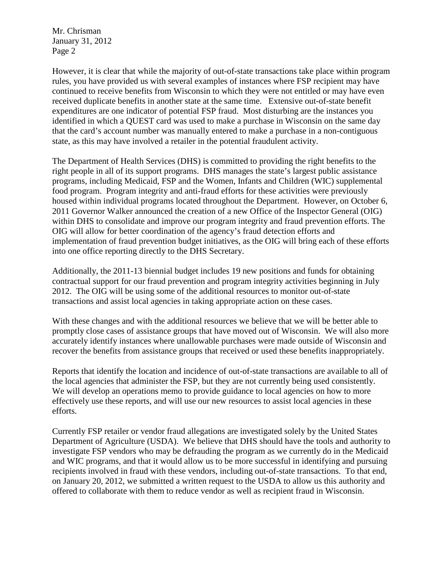Mr. Chrisman January 31, 2012 Page 2

However, it is clear that while the majority of out-of-state transactions take place within program rules, you have provided us with several examples of instances where FSP recipient may have continued to receive benefits from Wisconsin to which they were not entitled or may have even received duplicate benefits in another state at the same time. Extensive out-of-state benefit expenditures are one indicator of potential FSP fraud. Most disturbing are the instances you identified in which a QUEST card was used to make a purchase in Wisconsin on the same day that the card's account number was manually entered to make a purchase in a non-contiguous state, as this may have involved a retailer in the potential fraudulent activity.

The Department of Health Services (DHS) is committed to providing the right benefits to the right people in all of its support programs. DHS manages the state's largest public assistance programs, including Medicaid, FSP and the Women, Infants and Children (WIC) supplemental food program. Program integrity and anti-fraud efforts for these activities were previously housed within individual programs located throughout the Department. However, on October 6, 2011 Governor Walker announced the creation of a new Office of the Inspector General (OIG) within DHS to consolidate and improve our program integrity and fraud prevention efforts. The OIG will allow for better coordination of the agency's fraud detection efforts and implementation of fraud prevention budget initiatives, as the OIG will bring each of these efforts into one office reporting directly to the DHS Secretary.

Additionally, the 2011-13 biennial budget includes 19 new positions and funds for obtaining contractual support for our fraud prevention and program integrity activities beginning in July 2012. The OIG will be using some of the additional resources to monitor out-of-state transactions and assist local agencies in taking appropriate action on these cases.

With these changes and with the additional resources we believe that we will be better able to promptly close cases of assistance groups that have moved out of Wisconsin. We will also more accurately identify instances where unallowable purchases were made outside of Wisconsin and recover the benefits from assistance groups that received or used these benefits inappropriately.

Reports that identify the location and incidence of out-of-state transactions are available to all of the local agencies that administer the FSP, but they are not currently being used consistently. We will develop an operations memo to provide guidance to local agencies on how to more effectively use these reports, and will use our new resources to assist local agencies in these efforts.

Currently FSP retailer or vendor fraud allegations are investigated solely by the United States Department of Agriculture (USDA). We believe that DHS should have the tools and authority to investigate FSP vendors who may be defrauding the program as we currently do in the Medicaid and WIC programs, and that it would allow us to be more successful in identifying and pursuing recipients involved in fraud with these vendors, including out-of-state transactions. To that end, on January 20, 2012, we submitted a written request to the USDA to allow us this authority and offered to collaborate with them to reduce vendor as well as recipient fraud in Wisconsin.